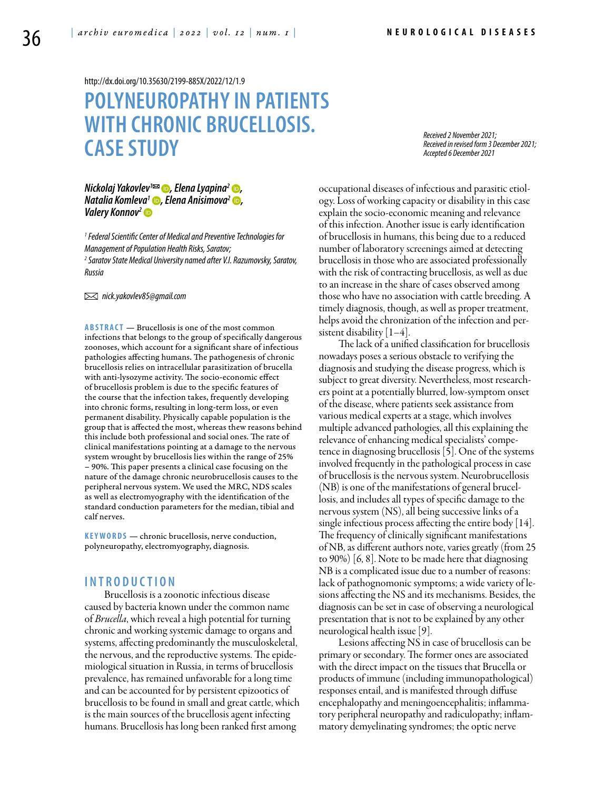<http://dx.doi.org/10.35630/2199-885X/2022/12/1.9>

# **Polyneuropathy in patients with chronic brucellosis. Case study**

*Received 2 November 2021; Received in revised form 3 December 2021; Accepted 6 December 2021*

# *Nickolaj Yakovlev™ ©, [Elena Lyapina](https://orcid.org/0000-0003-3483-644X)<sup>2</sup> ©,<br>[Natalia Komleva](https://orcid.org/0000-0001-5360-712X)<sup>1</sup> ©, Elena Anisimova<sup>2</sup> ©,<br>Valery Konnov<sup>2</sup> ©*

*1 Federal Scientific Center of Medical and Preventive Technologies for Management of Population Health Risks, Saratov;*

*2 Saratov State Medical University named after V.I. Razumovsky, Saratov, Russia*

 *nick.yakovlev85@gmail.com*

**ABSTRACT** — Brucellosis is one of the most common infections that belongs to the group of specifically dangerous zoonoses, which account for a significant share of infectious pathologies affecting humans. The pathogenesis of chronic brucellosis relies on intracellular parasitization of brucella with anti-lysozyme activity. The socio-economic effect of brucellosis problem is due to the specific features of the course that the infection takes, frequently developing into chronic forms, resulting in long-term loss, or even permanent disability. Physically capable population is the group that is affected the most, whereas thew reasons behind this include both professional and social ones. The rate of clinical manifestations pointing at a damage to the nervous system wrought by brucellosis lies within the range of 25% – 90%. This paper presents a clinical case focusing on the nature of the damage chronic neurobrucellosis causes to the peripheral nervous system. We used the MRC, NDS scales as well as electromyography with the identification of the standard conduction parameters for the median, tibial and calf nerves.

KEYWORDS — chronic brucellosis, nerve conduction, polyneuropathy, electromyography, diagnosis.

## **I n t r o d u ct i o n**

Brucellosis is a zoonotic infectious disease caused by bacteria known under the common name of *Brucella*, which reveal a high potential for turning chronic and working systemic damage to organs and systems, affecting predominantly the musculoskeletal, the nervous, and the reproductive systems. The epidemiological situation in Russia, in terms of brucellosis prevalence, has remained unfavorable for a long time and can be accounted for by persistent epizootics of brucellosis to be found in small and great cattle, which is the main sources of the brucellosis agent infecting humans. Brucellosis has long been ranked first among

occupational diseases of infectious and parasitic etiology. Loss of working capacity or disability in this case explain the socio-economic meaning and relevance of this infection. Another issue is early identification of brucellosis in humans, this being due to a reduced number of laboratory screenings aimed at detecting brucellosis in those who are associated professionally with the risk of contracting brucellosis, as well as due to an increase in the share of cases observed among those who have no association with cattle breeding. A timely diagnosis, though, as well as proper treatment, helps avoid the chronization of the infection and persistent disability  $[1-4]$ .

The lack of a unified classification for brucellosis nowadays poses a serious obstacle to verifying the diagnosis and studying the disease progress, which is subject to great diversity. Nevertheless, most researchers point at a potentially blurred, low-symptom onset of the disease, where patients seek assistance from various medical experts at a stage, which involves multiple advanced pathologies, all this explaining the relevance of enhancing medical specialists' competence in diagnosing brucellosis [5]. One of the systems involved frequently in the pathological process in case of brucellosis is the nervous system. Neurobrucellosis (NB) is one of the manifestations of general brucellosis, and includes all types of specific damage to the nervous system (NS), all being successive links of a single infectious process affecting the entire body [14]. The frequency of clinically significant manifestations of NB, as different authors note, varies greatly (from 25 to 90%) [6, 8]. Note to be made here that diagnosing NB is a complicated issue due to a number of reasons: lack of pathognomonic symptoms; a wide variety of lesions affecting the NS and its mechanisms. Besides, the diagnosis can be set in case of observing a neurological presentation that is not to be explained by any other neurological health issue [9].

Lesions affecting NS in case of brucellosis can be primary or secondary. The former ones are associated with the direct impact on the tissues that Brucella or products of immune (including immunopathological) responses entail, and is manifested through diffuse encephalopathy and meningoencephalitis; inflammatory peripheral neuropathy and radiculopathy; inflammatory demyelinating syndromes; the optic nerve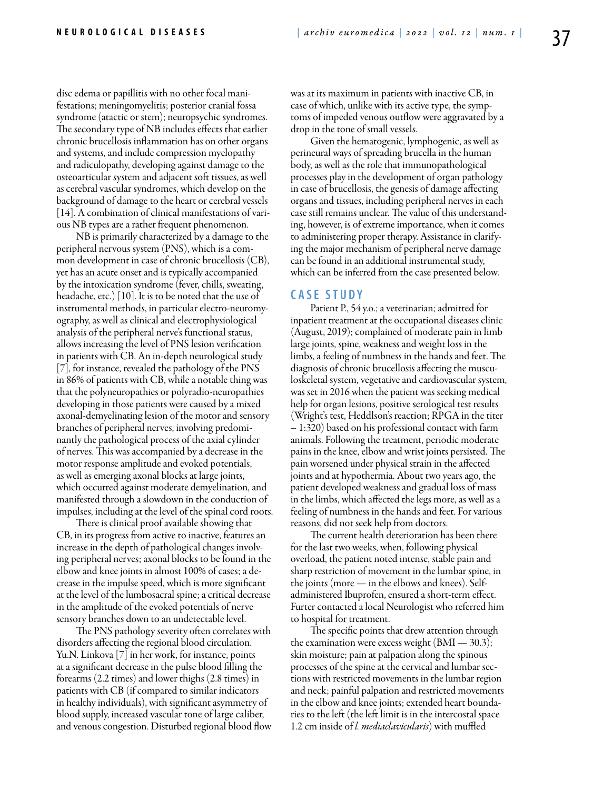disc edema or papillitis with no other focal manifestations; meningomyelitis; posterior cranial fossa syndrome (atactic or stem); neuropsychic syndromes. The secondary type of NB includes effects that earlier chronic brucellosis inflammation has on other organs and systems, and include compression myelopathy and radiculopathy, developing against damage to the osteoarticular system and adjacent soft tissues, as well as cerebral vascular syndromes, which develop on the background of damage to the heart or cerebral vessels [14]. A combination of clinical manifestations of various NB types are a rather frequent phenomenon.

NB is primarily characterized by a damage to the peripheral nervous system (PNS), which is a common development in case of chronic brucellosis (CB), yet has an acute onset and is typically accompanied by the intoxication syndrome (fever, chills, sweating, headache, etc.) [10]. It is to be noted that the use of instrumental methods, in particular electro-neuromyography, as well as clinical and electrophysiological analysis of the peripheral nerve's functional status, allows increasing the level of PNS lesion verification in patients with CB. An in-depth neurological study [7], for instance, revealed the pathology of the PNS in 86% of patients with CB, while a notable thing was that the polyneuropathies or polyradio-neuropathies developing in those patients were caused by a mixed axonal-demyelinating lesion of the motor and sensory branches of peripheral nerves, involving predominantly the pathological process of the axial cylinder of nerves. This was accompanied by a decrease in the motor response amplitude and evoked potentials, as well as emerging axonal blocks at large joints, which occurred against moderate demyelination, and manifested through a slowdown in the conduction of impulses, including at the level of the spinal cord roots.

There is clinical proof available showing that CB, in its progress from active to inactive, features an increase in the depth of pathological changes involving peripheral nerves; axonal blocks to be found in the elbow and knee joints in almost 100% of cases; a decrease in the impulse speed, which is more significant at the level of the lumbosacral spine; a critical decrease in the amplitude of the evoked potentials of nerve sensory branches down to an undetectable level.

The PNS pathology severity often correlates with disorders affecting the regional blood circulation. Yu.N. Linkova [7] in her work, for instance, points at a significant decrease in the pulse blood filling the forearms (2.2 times) and lower thighs (2.8 times) in patients with CB (if compared to similar indicators in healthy individuals), with significant asymmetry of blood supply, increased vascular tone of large caliber, and venous congestion. Disturbed regional blood flow was at its maximum in patients with inactive CB, in case of which, unlike with its active type, the symptoms of impeded venous outflow were aggravated by a drop in the tone of small vessels.

Given the hematogenic, lymphogenic, as well as perineural ways of spreading brucella in the human body, as well as the role that immunopathological processes play in the development of organ pathology in case of brucellosis, the genesis of damage affecting organs and tissues, including peripheral nerves in each case still remains unclear. The value of this understanding, however, is of extreme importance, when it comes to administering proper therapy. Assistance in clarifying the major mechanism of peripheral nerve damage can be found in an additional instrumental study, which can be inferred from the case presented below.

#### **C ASE STUDY**

Patient P., 54 y.o.; a veterinarian; admitted for inpatient treatment at the occupational diseases clinic (August, 2019); complained of moderate pain in limb large joints, spine, weakness and weight loss in the limbs, a feeling of numbness in the hands and feet. The diagnosis of chronic brucellosis affecting the musculoskeletal system, vegetative and cardiovascular system, was set in 2016 when the patient was seeking medical help for organ lesions, positive serological test results (Wright's test, Heddlson's reaction; RPGA in the titer – 1:320) based on his professional contact with farm animals. Following the treatment, periodic moderate pains in the knee, elbow and wrist joints persisted. The pain worsened under physical strain in the affected joints and at hypothermia. About two years ago, the patient developed weakness and gradual loss of mass in the limbs, which affected the legs more, as well as a feeling of numbness in the hands and feet. For various reasons, did not seek help from doctors.

The current health deterioration has been there for the last two weeks, when, following physical overload, the patient noted intense, stable pain and sharp restriction of movement in the lumbar spine, in the joints (more — in the elbows and knees). Selfadministered Ibuprofen, ensured a short-term effect. Furter contacted a local Neurologist who referred him to hospital for treatment.

The specific points that drew attention through the examination were excess weight  $(BMI - 30.3)$ ; skin moisture; pain at palpation along the spinous processes of the spine at the cervical and lumbar sections with restricted movements in the lumbar region and neck; painful palpation and restricted movements in the elbow and knee joints; extended heart boundaries to the left (the left limit is in the intercostal space 1.2 cm inside of *l. mediaclavicularis*) with muffled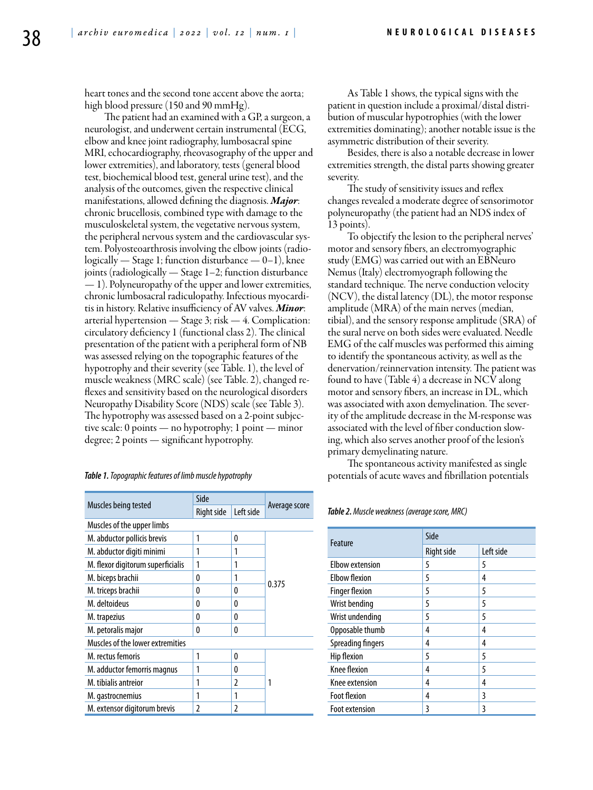heart tones and the second tone accent above the aorta; high blood pressure (150 and 90 mmHg).

The patient had an examined with a GP, a surgeon, a neurologist, and underwent certain instrumental (ECG, elbow and knee joint radiography, lumbosacral spine MRI, echocardiography, rheovasography of the upper and lower extremities), and laboratory, tests (general blood test, biochemical blood test, general urine test), and the analysis of the outcomes, given the respective clinical manifestations, allowed defining the diagnosis. *Major*: chronic brucellosis, combined type with damage to the musculoskeletal system, the vegetative nervous system, the peripheral nervous system and the cardiovascular system. Polyosteoarthrosis involving the elbow joints (radiologically — Stage 1; function disturbance — 0–1), knee joints (radiologically — Stage 1–2; function disturbance — 1). Polyneuropathy of the upper and lower extremities, chronic lumbosacral radiculopathy. Infectious myocarditis in history. Relative insufficiency of AV valves. *Minor*: arterial hypertension — Stage 3; risk — 4. Complication: circulatory deficiency 1 (functional class 2). The clinical presentation of the patient with a peripheral form of NB was assessed relying on the topographic features of the hypotrophy and their severity (see Table. 1), the level of muscle weakness (MRC scale) (see Table. 2), changed reflexes and sensitivity based on the neurological disorders Neuropathy Disability Score (NDS) scale (see Table 3). The hypotrophy was assessed based on a 2-point subjective scale: 0 points — no hypotrophy; 1 point — minor degree; 2 points — significant hypotrophy.

| Muscles being tested              | Side       |           |               |  |
|-----------------------------------|------------|-----------|---------------|--|
|                                   | Right side | Left side | Average score |  |
| Muscles of the upper limbs        |            |           |               |  |
| M. abductor pollicis brevis       | 1          | 0         |               |  |
| M. abductor digiti minimi         | 1          | 1         |               |  |
| M. flexor digitorum superficialis | 1          | 1         |               |  |
| M. biceps brachii                 | 0          | 1         |               |  |
| M. triceps brachii                | 0          | 0         | 0.375         |  |
| M. deltoideus                     | 0          | 0         |               |  |
| M. trapezius                      | 0          | 0         |               |  |
| M. petoralis major                | 0          | 0         |               |  |
| Muscles of the lower extremities  |            |           |               |  |
| M. rectus femoris                 | 1          | 0         |               |  |
| M. adductor femorris magnus       | 1          | 0         |               |  |
| M. tibialis antreior              | 1          | 2         | 1             |  |
| M. gastrocnemius                  | 1          | 1         |               |  |
| M. extensor digitorum brevis      | 2          | 2         |               |  |

As Table 1 shows, the typical signs with the patient in question include a proximal/distal distribution of muscular hypotrophies (with the lower extremities dominating); another notable issue is the asymmetric distribution of their severity.

Besides, there is also a notable decrease in lower extremities strength, the distal parts showing greater severity.

The study of sensitivity issues and reflex changes revealed a moderate degree of sensorimotor polyneuropathy (the patient had an NDS index of 13 points).

To objectify the lesion to the peripheral nerves' motor and sensory fibers, an electromyographic study (EMG) was carried out with an EBNeuro Nemus (Italy) electromyograph following the standard technique. The nerve conduction velocity (NCV), the distal latency (DL), the motor response amplitude (MRA) of the main nerves (median, tibial), and the sensory response amplitude (SRA) of the sural nerve on both sides were evaluated. Needle EMG of the calf muscles was performed this aiming to identify the spontaneous activity, as well as the denervation/reinnervation intensity. The patient was found to have (Table 4) a decrease in NCV along motor and sensory fibers, an increase in DL, which was associated with axon demyelination. The severity of the amplitude decrease in the M-response was associated with the level of fiber conduction slowing, which also serves another proof of the lesion's primary demyelinating nature.

The spontaneous activity manifested as single potentials of acute waves and fibrillation potentials

*Table 2. Muscle weakness (average score, MRC)*

| Feature                  | Side       |           |  |
|--------------------------|------------|-----------|--|
|                          | Right side | Left side |  |
| <b>Elbow extension</b>   | 5          | 5         |  |
| <b>Elbow flexion</b>     | 5          | 4         |  |
| <b>Finger flexion</b>    | 5          | 5         |  |
| Wrist bending            | 5          | 5         |  |
| Wrist undending          | 5          | 5         |  |
| Opposable thumb          | 4          | 4         |  |
| <b>Spreading fingers</b> | 4          | 4         |  |
| <b>Hip flexion</b>       | 5          | 5         |  |
| <b>Knee flexion</b>      | 4          | 5         |  |
| Knee extension           | 4          | 4         |  |
| <b>Foot flexion</b>      | 4          | 3         |  |
| <b>Foot extension</b>    | 3          | 3         |  |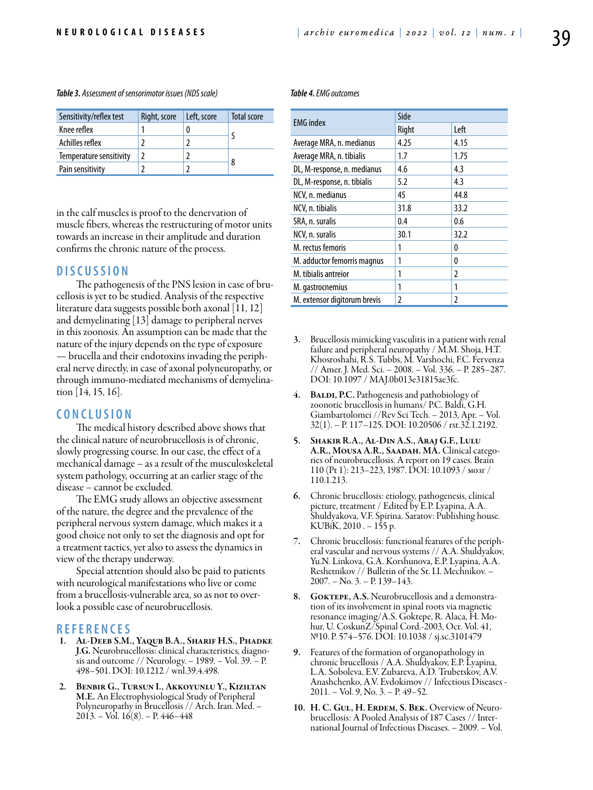| Sensitivity/reflex test | Right, score | Left, score | Total score |  |
|-------------------------|--------------|-------------|-------------|--|
| Knee reflex             |              |             |             |  |
| Achilles reflex         |              |             |             |  |
| Temperature sensitivity |              |             |             |  |
| Pain sensitivity        |              |             | 8           |  |

in the calf muscles is proof to the denervation of muscle fibers, whereas the restructuring of motor units towards an increase in their amplitude and duration confirms the chronic nature of the process.

#### **DISC USSION**

The pathogenesis of the PNS lesion in case of brucellosis is yet to be studied. Analysis of the respective literature data suggests possible both axonal [11, 12] and demyelinating [13] damage to peripheral nerves in this zoonosis. An assumption can be made that the nature of the injury depends on the type of exposure — brucella and their endotoxins invading the peripheral nerve directly, in case of axonal polyneuropathy, or through immuno-mediated mechanisms of demyelination [14, 15, 16].

### **C ON CLUSION**

The medical history described above shows that the clinical nature of neurobrucellosis is of chronic, slowly progressing course. In our case, the effect of a mechanical damage – as a result of the musculoskeletal system pathology, occurring at an earlier stage of the disease – cannot be excluded.

The EMG study allows an objective assessment of the nature, the degree and the prevalence of the peripheral nervous system damage, which makes it a good choice not only to set the diagnosis and opt for a treatment tactics, yet also to assess the dynamics in view of the therapy underway.

Special attention should also be paid to patients with neurological manifestations who live or come from a brucellosis-vulnerable area, so as not to overlook a possible case of neurobrucellosis.

#### **REFEREN CES**

- 1. AL-DEEB S.M., YAQUB B.A., SHARIF H.S., PHADKE<br>J.G. Neurobrucellosis: clinical characteristics, diagnosis and outcome // Neurology. – 1989. – Vol. 39. – P. 498–501. DOI: 10.1212 / wnl.39.4.498.
- 2. Benbir G., Tursun I., Akkoyunlu Y., Kiziltan M.E. An Electrophysiological Study of Peripheral Polyneuropathy in Brucellosis // Arch. Iran. Med. –  $2013. -$  Vol.  $16(8)$ . – P.  $446-448$

#### *Table 4. EMG outcomes*

| <b>EMG</b> index             | Side  |                |  |
|------------------------------|-------|----------------|--|
|                              | Right | Left           |  |
| Average MRA, n. medianus     | 4.25  | 4.15           |  |
| Average MRA, n. tibialis     | 1.7   | 1.75           |  |
| DL, M-response, n. medianus  | 4.6   | 4.3            |  |
| DL, M-response, n. tibialis  | 5.2   | 4.3            |  |
| NCV, n. medianus             | 45    | 44.8           |  |
| NCV, n. tibialis             | 31.8  | 33.2           |  |
| SRA, n. suralis              | 0.4   | 0.6            |  |
| NCV, n. suralis              | 30.1  | 32.2           |  |
| M. rectus femoris            | 1     | 0              |  |
| M. adductor femorris magnus  | 1     | 0              |  |
| M. tibialis antreior         | 1     | $\overline{2}$ |  |
| M. gastrocnemius             |       | 1              |  |
| M. extensor digitorum brevis | 2     | $\mathfrak z$  |  |

- 3. Brucellosis mimicking vasculitis in a patient with renal failure and peripheral neuropathy / M.M. Shoja, H.T. Khosroshahi, R.S. Tubbs, M. Varshochi, F.C. Fervenza // Amer. J. Med. Sci. – 2008. – Vol. 336. – P. 285–287. DOI: 10.1097 / MAJ.0b013e31815ae3fc.
- 4. BALDI, P.C. Pathogenesis and pathobiology of zoonotic brucellosis in humans/ P.C. Baldi, G.H. Giambartolomei //Rev Sci Tech. – 2013, Apr. – Vol. 32(1). – P. 117–125. DOI: 10.20506 / rst.32.1.2192.
- 5. Shakir R.A., Al-Din A.S., Araj G.F., Lulu A.R., Mousa A.R., Saadah. MA. Clinical catego- ries of neurobrucellosis. A report on 19 cases. Brain 110 (Pt 1): 213–223, 1987. DOI: 10.1093 / мозг / 110.1.213.
- 6. Chronic brucellosis: etiology, pathogenesis, clinical picture, treatment / Edited by E.P. Lyapina, A.A. Shuldyakova, V.F. Spirina. Saratov: Publishing house. KUBiK, 2010 . – 155 p.
- 7. Chronic brucellosis: functional features of the periph- eral vascular and nervous systems // А.А. Shuldyakov, Yu.N. Linkova, G.A. Korshunova, E.P. Lyapina, A.A. Reshetnikov // Bulletin of the St. I.I. Mechnikov. – 2007. – No. 3. – P. 139–143.
- 8. GOKTEPE, A.S. Neurobrucellosis and a demonstration of its involvement in spinal roots via magnetic resonance imaging/A.S. Goktepe, R. Alaca, H. Mohur, U. CoskunZ/Spinal Cord.-2003, Oct. Vol. 41, №10. P. 574–576. DOI: 10.1038 / sj.sc.3101479
- 9. Features of the formation of organopathology in chronic brucellosis / А.А. Shuldyakov, E.P. Lyapina, L.A. Soboleva, E.V. Zubareva, A.D. Trubetskov, A.V. Anashchenko, A.V. Evdokimov // Infectious Diseases - 2011. – Vol. 9, No. 3. – P. 49–52.
- 10. H. C. GUL, H. ERDEM, S. BEK. Overview of Neuro-<br>brucellosis: A Pooled Analysis of 187 Cases // International Journal of Infectious Diseases. – 2009. – Vol.